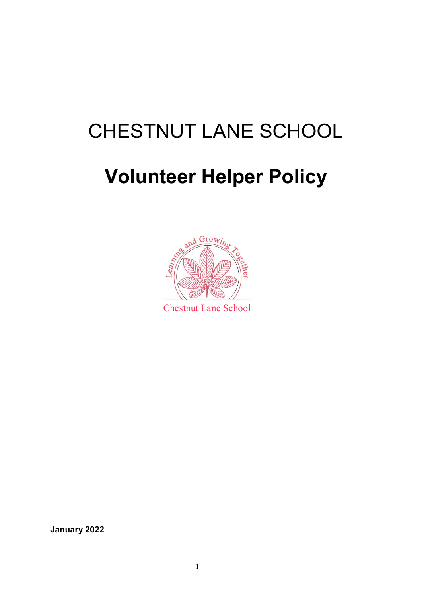# CHESTNUT LANE SCHOOL

# **Volunteer Helper Policy**



**January 2022**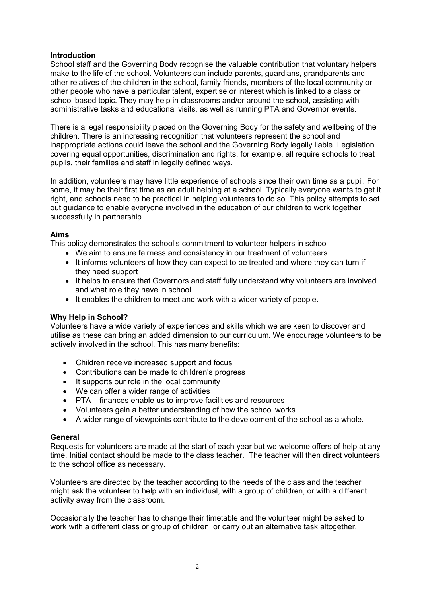# **Introduction**

School staff and the Governing Body recognise the valuable contribution that voluntary helpers make to the life of the school. Volunteers can include parents, guardians, grandparents and other relatives of the children in the school, family friends, members of the local community or other people who have a particular talent, expertise or interest which is linked to a class or school based topic. They may help in classrooms and/or around the school, assisting with administrative tasks and educational visits, as well as running PTA and Governor events.

There is a legal responsibility placed on the Governing Body for the safety and wellbeing of the children. There is an increasing recognition that volunteers represent the school and inappropriate actions could leave the school and the Governing Body legally liable. Legislation covering equal opportunities, discrimination and rights, for example, all require schools to treat pupils, their families and staff in legally defined ways.

In addition, volunteers may have little experience of schools since their own time as a pupil. For some, it may be their first time as an adult helping at a school. Typically everyone wants to get it right, and schools need to be practical in helping volunteers to do so. This policy attempts to set out guidance to enable everyone involved in the education of our children to work together successfully in partnership.

# **Aims**

This policy demonstrates the school's commitment to volunteer helpers in school

- We aim to ensure fairness and consistency in our treatment of volunteers
- It informs volunteers of how they can expect to be treated and where they can turn if they need support
- It helps to ensure that Governors and staff fully understand why volunteers are involved and what role they have in school
- It enables the children to meet and work with a wider variety of people.

## **Why Help in School?**

Volunteers have a wide variety of experiences and skills which we are keen to discover and utilise as these can bring an added dimension to our curriculum. We encourage volunteers to be actively involved in the school. This has many benefits:

- Children receive increased support and focus
- Contributions can be made to children's progress
- It supports our role in the local community
- We can offer a wider range of activities
- PTA finances enable us to improve facilities and resources
- Volunteers gain a better understanding of how the school works
- A wider range of viewpoints contribute to the development of the school as a whole.

## **General**

Requests for volunteers are made at the start of each year but we welcome offers of help at any time. Initial contact should be made to the class teacher. The teacher will then direct volunteers to the school office as necessary.

Volunteers are directed by the teacher according to the needs of the class and the teacher might ask the volunteer to help with an individual, with a group of children, or with a different activity away from the classroom.

Occasionally the teacher has to change their timetable and the volunteer might be asked to work with a different class or group of children, or carry out an alternative task altogether.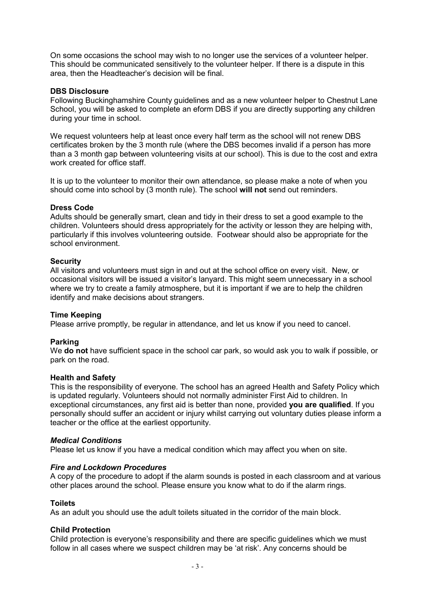On some occasions the school may wish to no longer use the services of a volunteer helper. This should be communicated sensitively to the volunteer helper. If there is a dispute in this area, then the Headteacher's decision will be final.

#### **DBS Disclosure**

Following Buckinghamshire County guidelines and as a new volunteer helper to Chestnut Lane School, you will be asked to complete an eform DBS if you are directly supporting any children during your time in school.

We request volunteers help at least once every half term as the school will not renew DBS certificates broken by the 3 month rule (where the DBS becomes invalid if a person has more than a 3 month gap between volunteering visits at our school). This is due to the cost and extra work created for office staff.

It is up to the volunteer to monitor their own attendance, so please make a note of when you should come into school by (3 month rule). The school **will not** send out reminders.

#### **Dress Code**

Adults should be generally smart, clean and tidy in their dress to set a good example to the children. Volunteers should dress appropriately for the activity or lesson they are helping with, particularly if this involves volunteering outside. Footwear should also be appropriate for the school environment.

#### **Security**

All visitors and volunteers must sign in and out at the school office on every visit. New, or occasional visitors will be issued a visitor's lanyard. This might seem unnecessary in a school where we try to create a family atmosphere, but it is important if we are to help the children identify and make decisions about strangers.

#### **Time Keeping**

Please arrive promptly, be regular in attendance, and let us know if you need to cancel.

#### **Parking**

We **do not** have sufficient space in the school car park, so would ask you to walk if possible, or park on the road.

#### **Health and Safety**

This is the responsibility of everyone. The school has an agreed Health and Safety Policy which is updated regularly. Volunteers should not normally administer First Aid to children. In exceptional circumstances, any first aid is better than none, provided **you are qualified**. If you personally should suffer an accident or injury whilst carrying out voluntary duties please inform a teacher or the office at the earliest opportunity.

#### *Medical Conditions*

Please let us know if you have a medical condition which may affect you when on site.

#### *Fire and Lockdown Procedures*

A copy of the procedure to adopt if the alarm sounds is posted in each classroom and at various other places around the school. Please ensure you know what to do if the alarm rings.

#### **Toilets**

As an adult you should use the adult toilets situated in the corridor of the main block.

#### **Child Protection**

Child protection is everyone's responsibility and there are specific guidelines which we must follow in all cases where we suspect children may be 'at risk'. Any concerns should be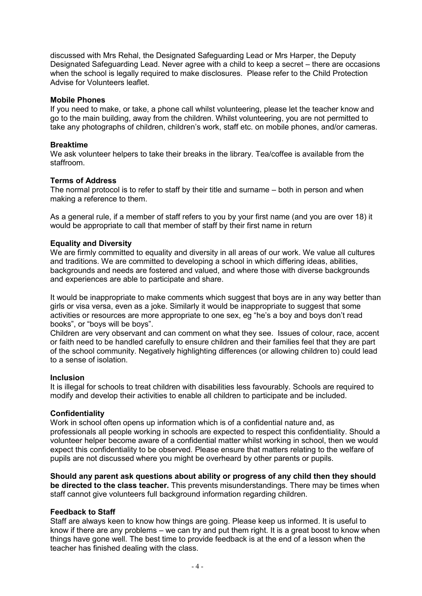discussed with Mrs Rehal, the Designated Safeguarding Lead or Mrs Harper, the Deputy Designated Safeguarding Lead. Never agree with a child to keep a secret – there are occasions when the school is legally required to make disclosures. Please refer to the Child Protection Advise for Volunteers leaflet.

#### **Mobile Phones**

If you need to make, or take, a phone call whilst volunteering, please let the teacher know and go to the main building, away from the children. Whilst volunteering, you are not permitted to take any photographs of children, children's work, staff etc. on mobile phones, and/or cameras.

#### **Breaktime**

We ask volunteer helpers to take their breaks in the library. Tea/coffee is available from the staffroom.

#### **Terms of Address**

The normal protocol is to refer to staff by their title and surname – both in person and when making a reference to them.

As a general rule, if a member of staff refers to you by your first name (and you are over 18) it would be appropriate to call that member of staff by their first name in return

#### **Equality and Diversity**

We are firmly committed to equality and diversity in all areas of our work. We value all cultures and traditions. We are committed to developing a school in which differing ideas, abilities, backgrounds and needs are fostered and valued, and where those with diverse backgrounds and experiences are able to participate and share.

It would be inappropriate to make comments which suggest that boys are in any way better than girls or visa versa, even as a joke. Similarly it would be inappropriate to suggest that some activities or resources are more appropriate to one sex, eg "he's a boy and boys don't read books", or "boys will be boys".

Children are very observant and can comment on what they see. Issues of colour, race, accent or faith need to be handled carefully to ensure children and their families feel that they are part of the school community. Negatively highlighting differences (or allowing children to) could lead to a sense of isolation.

#### **Inclusion**

It is illegal for schools to treat children with disabilities less favourably. Schools are required to modify and develop their activities to enable all children to participate and be included.

#### **Confidentiality**

Work in school often opens up information which is of a confidential nature and, as professionals all people working in schools are expected to respect this confidentiality. Should a volunteer helper become aware of a confidential matter whilst working in school, then we would expect this confidentiality to be observed. Please ensure that matters relating to the welfare of pupils are not discussed where you might be overheard by other parents or pupils.

**Should any parent ask questions about ability or progress of any child then they should be directed to the class teacher.** This prevents misunderstandings. There may be times when staff cannot give volunteers full background information regarding children.

#### **Feedback to Staff**

Staff are always keen to know how things are going. Please keep us informed. It is useful to know if there are any problems – we can try and put them right. It is a great boost to know when things have gone well. The best time to provide feedback is at the end of a lesson when the teacher has finished dealing with the class.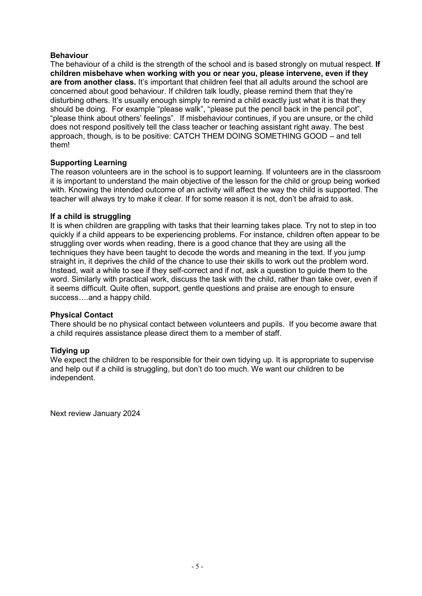## **Behaviour**

The behaviour of a child is the strength of the school and is based strongly on mutual respect. **If children misbehave when working with you or near you, please intervene, even if they are from another class.** It's important that children feel that all adults around the school are concerned about good behaviour. If children talk loudly, please remind them that they're disturbing others. It's usually enough simply to remind a child exactly just what it is that they should be doing. For example "please walk", "please put the pencil back in the pencil pot", "please think about others' feelings". If misbehaviour continues, if you are unsure, or the child does not respond positively tell the class teacher or teaching assistant right away. The best approach, though, is to be positive: CATCH THEM DOING SOMETHING GOOD – and tell them!

## **Supporting Learning**

The reason volunteers are in the school is to support learning. If volunteers are in the classroom it is important to understand the main objective of the lesson for the child or group being worked with. Knowing the intended outcome of an activity will affect the way the child is supported. The teacher will always try to make it clear. If for some reason it is not, don't be afraid to ask.

#### **If a child is struggling**

It is when children are grappling with tasks that their learning takes place. Try not to step in too quickly if a child appears to be experiencing problems. For instance, children often appear to be struggling over words when reading, there is a good chance that they are using all the techniques they have been taught to decode the words and meaning in the text. If you jump straight in, it deprives the child of the chance to use their skills to work out the problem word. Instead, wait a while to see if they self-correct and if not, ask a question to guide them to the word. Similarly with practical work, discuss the task with the child, rather than take over, even if it seems difficult. Quite often, support, gentle questions and praise are enough to ensure success….and a happy child.

#### **Physical Contact**

There should be no physical contact between volunteers and pupils. If you become aware that a child requires assistance please direct them to a member of staff.

#### **Tidying up**

We expect the children to be responsible for their own tidying up. It is appropriate to supervise and help out if a child is struggling, but don't do too much. We want our children to be independent.

Next review January 2024